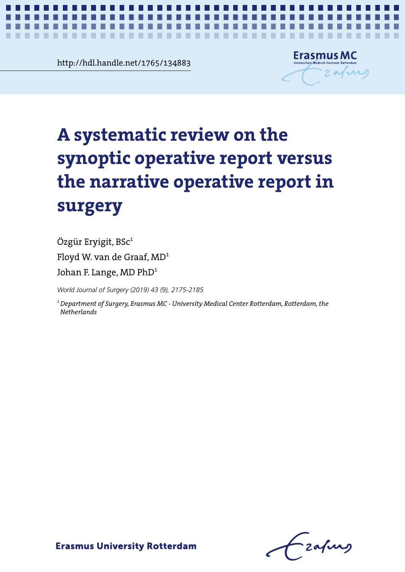**Chapter 3** http://hdl.handle.net/1765/134883

٠



*A systematic review on the synoptic operative report* **1**

# A systematic review on the synoptic **synoptic operative report versus**  the narrative operative report in **surgery A systematic review on the**

Özgür Eryigit, BSc<sup>1</sup>

Floyd W. van de Graaf, MD1

Johan F. Lange, MD PhD<sup>1</sup>

 $\mathcal{L}$ *World Journal of Surgery (2019) 43 (9), 2175-2185* 

*World Journal of Surgery (2019) 43 (9), 2175-2185 1 Department of Surgery, Erasmus MC - University Medical Center Rotterdam, Rotterdam, the Netherlands*

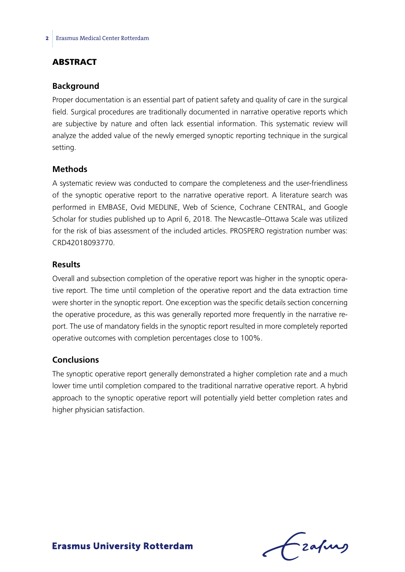# **ABSTRACT**

### **Background**

Proper documentation is an essential part of patient safety and quality of care in the surgical field. Surgical procedures are traditionally documented in narrative operative reports which are subjective by nature and often lack essential information. This systematic review will analyze the added value of the newly emerged synoptic reporting technique in the surgical setting.

### **Methods**

A systematic review was conducted to compare the completeness and the user-friendliness of the synoptic operative report to the narrative operative report. A literature search was performed in EMBASE, Ovid MEDLINE, Web of Science, Cochrane CENTRAL, and Google Scholar for studies published up to April 6, 2018. The Newcastle–Ottawa Scale was utilized for the risk of bias assessment of the included articles. PROSPERO registration number was: CRD42018093770.

### **Results**

Overall and subsection completion of the operative report was higher in the synoptic operative report. The time until completion of the operative report and the data extraction time were shorter in the synoptic report. One exception was the specific details section concerning the operative procedure, as this was generally reported more frequently in the narrative report. The use of mandatory fields in the synoptic report resulted in more completely reported operative outcomes with completion percentages close to 100%.

### **Conclusions**

The synoptic operative report generally demonstrated a higher completion rate and a much lower time until completion compared to the traditional narrative operative report. A hybrid approach to the synoptic operative report will potentially yield better completion rates and higher physician satisfaction.

Lzafurg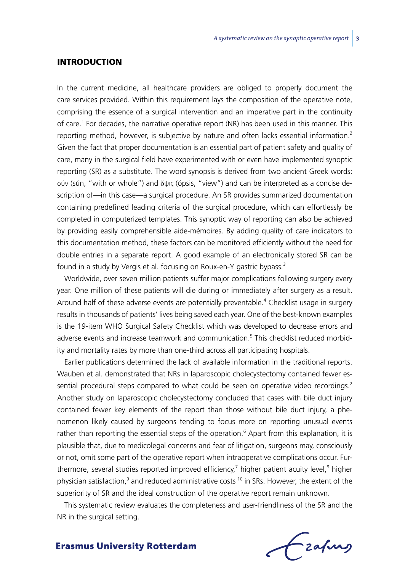### **INTRODUCTION**

In the current medicine, all healthcare providers are obliged to properly document the care services provided. Within this requirement lays the composition of the operative note, comprising the essence of a surgical intervention and an imperative part in the continuity of care.<sup>1</sup> For decades, the narrative operative report (NR) has been used in this manner. This reporting method, however, is subjective by nature and often lacks essential information.<sup>2</sup> Given the fact that proper documentation is an essential part of patient safety and quality of care, many in the surgical field have experimented with or even have implemented synoptic reporting (SR) as a substitute. The word synopsis is derived from two ancient Greek words: σύν (sún, "with or whole") and ὄψις (ópsis, "view") and can be interpreted as a concise description of—in this case—a surgical procedure. An SR provides summarized documentation containing predefined leading criteria of the surgical procedure, which can effortlessly be completed in computerized templates. This synoptic way of reporting can also be achieved by providing easily comprehensible aide-mémoires. By adding quality of care indicators to this documentation method, these factors can be monitored efficiently without the need for double entries in a separate report. A good example of an electronically stored SR can be found in a study by Vergis et al. focusing on Roux-en-Y gastric bypass.<sup>3</sup>

Worldwide, over seven million patients suffer major complications following surgery every year. One million of these patients will die during or immediately after surgery as a result. Around half of these adverse events are potentially preventable.<sup>4</sup> Checklist usage in surgery results in thousands of patients' lives being saved each year. One of the best-known examples is the 19-item WHO Surgical Safety Checklist which was developed to decrease errors and adverse events and increase teamwork and communication.<sup>5</sup> This checklist reduced morbidity and mortality rates by more than one-third across all participating hospitals.

Earlier publications determined the lack of available information in the traditional reports. Wauben et al. demonstrated that NRs in laparoscopic cholecystectomy contained fewer essential procedural steps compared to what could be seen on operative video recordings.<sup>2</sup> Another study on laparoscopic cholecystectomy concluded that cases with bile duct injury contained fewer key elements of the report than those without bile duct injury, a phenomenon likely caused by surgeons tending to focus more on reporting unusual events rather than reporting the essential steps of the operation.<sup>6</sup> Apart from this explanation, it is plausible that, due to medicolegal concerns and fear of litigation, surgeons may, consciously or not, omit some part of the operative report when intraoperative complications occur. Furthermore, several studies reported improved efficiency,<sup>7</sup> higher patient acuity level,<sup>8</sup> higher physician satisfaction,<sup>9</sup> and reduced administrative costs <sup>10</sup> in SRs. However, the extent of the superiority of SR and the ideal construction of the operative report remain unknown.

This systematic review evaluates the completeness and user-friendliness of the SR and the NR in the surgical setting.

Frahing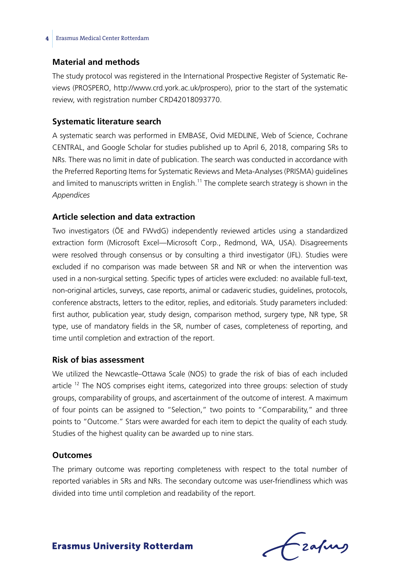#### **4** Erasmus Medical Center Rotterdam

# **Material and methods**

The study protocol was registered in the International Prospective Register of Systematic Reviews (PROSPERO, http://www.crd.york.ac.uk/prospero), prior to the start of the systematic review, with registration number CRD42018093770.

### **Systematic literature search**

A systematic search was performed in EMBASE, Ovid MEDLINE, Web of Science, Cochrane CENTRAL, and Google Scholar for studies published up to April 6, 2018, comparing SRs to NRs. There was no limit in date of publication. The search was conducted in accordance with the Preferred Reporting Items for Systematic Reviews and Meta-Analyses (PRISMA) guidelines and limited to manuscripts written in English.<sup>11</sup> The complete search strategy is shown in the *Appendices*

# **Article selection and data extraction**

Two investigators (ÖE and FWvdG) independently reviewed articles using a standardized extraction form (Microsoft Excel—Microsoft Corp., Redmond, WA, USA). Disagreements were resolved through consensus or by consulting a third investigator (JFL). Studies were excluded if no comparison was made between SR and NR or when the intervention was used in a non-surgical setting. Specific types of articles were excluded: no available full-text, non-original articles, surveys, case reports, animal or cadaveric studies, guidelines, protocols, conference abstracts, letters to the editor, replies, and editorials. Study parameters included: first author, publication year, study design, comparison method, surgery type, NR type, SR type, use of mandatory fields in the SR, number of cases, completeness of reporting, and time until completion and extraction of the report.

# **Risk of bias assessment**

We utilized the Newcastle–Ottawa Scale (NOS) to grade the risk of bias of each included article  $12$  The NOS comprises eight items, categorized into three groups: selection of study groups, comparability of groups, and ascertainment of the outcome of interest. A maximum of four points can be assigned to "Selection," two points to "Comparability," and three points to "Outcome." Stars were awarded for each item to depict the quality of each study. Studies of the highest quality can be awarded up to nine stars.

### **Outcomes**

The primary outcome was reporting completeness with respect to the total number of reported variables in SRs and NRs. The secondary outcome was user-friendliness which was divided into time until completion and readability of the report.

frafing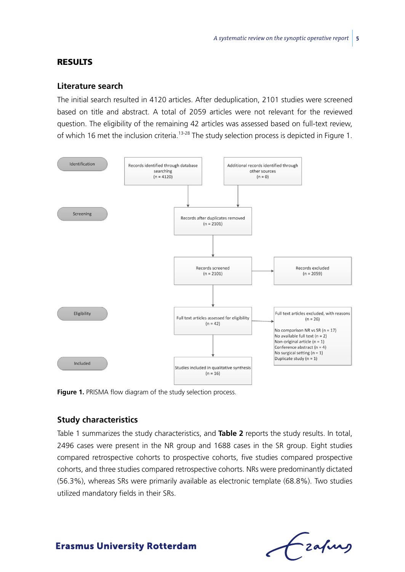### Results

#### **Literature search**

The initial search resulted in 4120 articles. After deduplication, 2101 studies were screened based on title and abstract. A total of 2059 articles were not relevant for the reviewed question. The eligibility of the remaining 42 articles was assessed based on full-text review, of which 16 met the inclusion criteria.<sup>13-28</sup> The study selection process is depicted in Figure 1.



Figure 1. PRISMA flow diagram of the study selection process.

#### **Study characteristics**

Table 1 summarizes the study characteristics, and **Table 2** reports the study results. In total, 2496 cases were present in the NR group and 1688 cases in the SR group. Eight studies compared retrospective cohorts to prospective cohorts, five studies compared prospective cohorts, and three studies compared retrospective cohorts. NRs were predominantly dictated (56.3%), whereas SRs were primarily available as electronic template (68.8%). Two studies utilized mandatory fields in their SRs.

frafing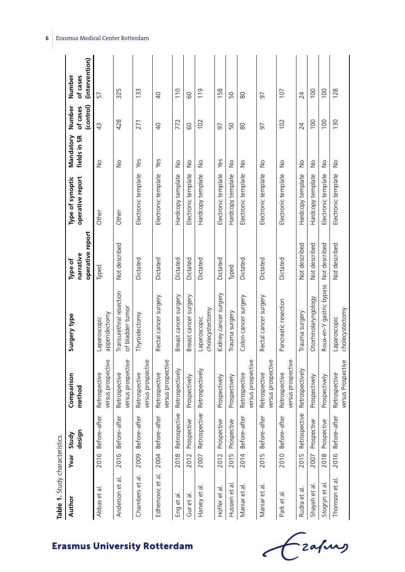| Table 1. Study characteristics. |      |                        |                                     |                                             |                                          |                                      |                           |                                 |                                      |
|---------------------------------|------|------------------------|-------------------------------------|---------------------------------------------|------------------------------------------|--------------------------------------|---------------------------|---------------------------------|--------------------------------------|
| Author                          |      | Year Study<br>desigr   | Comparison<br>method                | Surgery type                                | operative report<br>narrative<br>Type of | operative report<br>Type of synoptic | fields in SR<br>Mandatory | (control)<br>of cases<br>Number | (intervention)<br>Number<br>of cases |
| Abbas et al                     | 2016 | Before-after           | versus prospective<br>Retrospective | appendectomy<br>Laparoscopic                | Typed                                    | Other                                | $\frac{1}{2}$             | $\frac{1}{4}$                   | 57                                   |
| Anderson et al.                 |      | 2016 Before-after      | versus prospective<br>Retrospective | Transurethral resection<br>of bladder tumor | Not described                            | Other                                | $\frac{1}{2}$             | 428                             | 325                                  |
| Chambers et al.                 | 2009 | Before-after           | versus prospective<br>Retrospective | Thyroidectomy                               | Dictated                                 | Electronic template                  | Yes                       | 271                             | 133                                  |
| Edhemovic et al.                |      | 2004 Before-after      | versus prospective<br>Retrospective | Rectal cancer surgery                       | Dictated                                 | Electronic template                  | Yes                       | $\overline{a}$                  | $\overline{a}$                       |
| ᅙ<br>Eng et                     | 2018 | bective<br>Retrosp     | Retrospectively                     | Breast cancer surgery                       | Dictated                                 | Hardcopy template                    | $\frac{1}{2}$             | 772                             | 110                                  |
| Gur et al                       |      | 2012 Prospective       | Prospectively                       | Breast cancer surgery                       | Dictated                                 | Electronic template                  | $\frac{1}{2}$             | 8                               | 60                                   |
| $\overline{a}$<br>Harvey et     | 2007 | Retrospective          | Retrospectively                     | cholecystectomy<br>Laparoscopic             | Dictated                                 | Hardcopy template                    | $\frac{1}{2}$             | 102                             | 119                                  |
| Hoffer et al                    |      | 2012 Prospective       | Prospectively                       | Kidney cancer surgery                       | Dictated                                 | Electronic template                  | Yes                       | 57                              | 158                                  |
| Hussien et al                   | 2015 | Prospective            | Prospectively                       | Trauma surgery                              | Typed                                    | Hardcopy template                    | $\frac{1}{2}$             | SO                              | 50                                   |
| Maniar et al.                   |      | -after<br>2014 Before- | versus prospective<br>Retrospective | Colon cancer surgery                        | Dictated                                 | Electronic template                  | $\frac{1}{2}$             | 80                              | 80                                   |
| Maniar et al.                   | 2015 | -after<br>Before-      | versus prospective<br>Retrospective | Rectal cancer surgery                       | <b>Dictated</b>                          | Electronic template                  | $\frac{1}{2}$             | 57                              | 57                                   |
| Park et al                      |      | -after<br>2010 Before- | versus prospective<br>Retrospective | Pancreatic resection                        | Dictated                                 | Electronic template                  | $\frac{1}{2}$             | 102                             | 107                                  |
| Rudra et al                     | 2015 | bective<br>Retrosp     | Retrospectively                     | Trauma surgery                              | Not described                            | Hardcopy template                    | $\frac{1}{2}$             | 24                              | 24                                   |
| Shayah et al                    |      | 2007 Prospective       | Prospectively                       | Otorhinolaryngology                         | Not described                            | Hardcopy template                    | $\frac{1}{2}$             | 100                             | 100                                  |
| Stogryn et al.                  |      | 2018 Prospective       | Prospectively                       | Roux-en-Y gastric bypass                    | Not described                            | Electronic template                  | ş                         | 100                             | <b>DO1</b>                           |
| Thomson et al.                  |      | 2016 Before-after      | versus Prospective<br>Retrospective | cholecystectomy<br>Laparoscopic             | Not described                            | Electronic template                  | $\frac{1}{2}$             | 130                             | 128                                  |

### **6** Erasmus Medical Center Rotterdam

-<br>Eafurg  $\epsilon$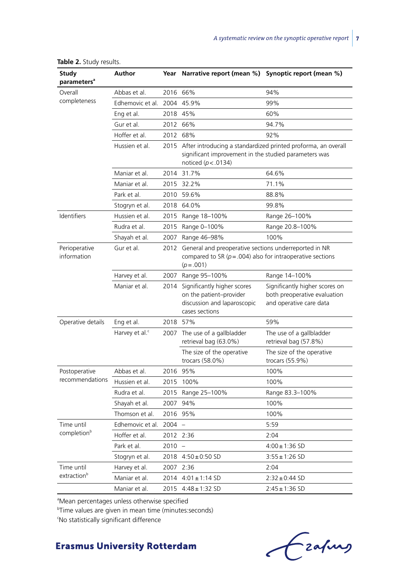| Study<br>parameters <sup>a</sup> | Author                     |          | Year Narrative report (mean %) Synoptic report (mean %)                                                                               |                                                                                           |
|----------------------------------|----------------------------|----------|---------------------------------------------------------------------------------------------------------------------------------------|-------------------------------------------------------------------------------------------|
| Overall                          | Abbas et al.               | 2016     | 66%                                                                                                                                   | 94%                                                                                       |
| completeness                     | Edhemovic et al.           | 2004     | 45.9%                                                                                                                                 | 99%                                                                                       |
|                                  | Eng et al.                 | 2018     | 45%                                                                                                                                   | 60%                                                                                       |
|                                  | Gur et al.                 | 2012     | 66%                                                                                                                                   | 94.7%                                                                                     |
|                                  | Hoffer et al.              | 2012     | 68%                                                                                                                                   | 92%                                                                                       |
|                                  | Hussien et al.             |          | significant improvement in the studied parameters was<br>noticed ( $p < .0134$ )                                                      | 2015 After introducing a standardized printed proforma, an overall                        |
|                                  | Maniar et al.              | 2014     | 31.7%                                                                                                                                 | 64.6%                                                                                     |
|                                  | Maniar et al.              | 2015     | 32.2%                                                                                                                                 | 71.1%                                                                                     |
|                                  | Park et al.                | 2010     | 59.6%                                                                                                                                 | 88.8%                                                                                     |
|                                  | Stogryn et al.             |          | 2018 64.0%                                                                                                                            | 99.8%                                                                                     |
| Identifiers                      | Hussien et al.             | 2015     | Range 18-100%                                                                                                                         | Range 26-100%                                                                             |
|                                  | Rudra et al.               |          | 2015 Range 0-100%                                                                                                                     | Range 20.8-100%                                                                           |
|                                  | Shayah et al.              | 2007     | Range 46-98%                                                                                                                          | 100%                                                                                      |
| Perioperative<br>information     | Gur et al.                 | 2012     | General and preoperative sections underreported in NR<br>compared to SR ( $p = .004$ ) also for intraoperative sections<br>$(p=.001)$ |                                                                                           |
|                                  | Harvey et al.              |          | 2007 Range 95-100%                                                                                                                    | Range 14-100%                                                                             |
|                                  | Maniar et al.              | 2014     | Significantly higher scores<br>on the patient-provider<br>discussion and laparoscopic<br>cases sections                               | Significantly higher scores on<br>both preoperative evaluation<br>and operative care data |
| Operative details                | Eng et al.                 | 2018 57% |                                                                                                                                       | 59%                                                                                       |
|                                  | Harvey et al. <sup>c</sup> | 2007     | The use of a gallbladder<br>retrieval bag (63.0%)                                                                                     | The use of a gallbladder<br>retrieval bag (57.8%)                                         |
|                                  |                            |          | The size of the operative<br>trocars (58.0%)                                                                                          | The size of the operative<br>trocars (55.9%)                                              |
| Postoperative                    | Abbas et al.               | 2016     | 95%                                                                                                                                   | 100%                                                                                      |
| recommendations                  | Hussien et al.             | 2015     | 100%                                                                                                                                  | 100%                                                                                      |
|                                  | Rudra et al.               | 2015     | Range 25-100%                                                                                                                         | Range 83.3-100%                                                                           |
|                                  | Shayah et al.              | 2007     | 94%                                                                                                                                   | 100%                                                                                      |
|                                  | Thomson et al.             | 2016     | 95%                                                                                                                                   | 100%                                                                                      |
| Time until                       | Edhemovic et al.           | 2004     |                                                                                                                                       | 5:59                                                                                      |
| completion <sup>b</sup>          | Hoffer et al.              | 2012     | 2:36                                                                                                                                  | 2:04                                                                                      |
|                                  | Park et al.                | 2010     | $\equiv$                                                                                                                              | $4:00 \pm 1:36$ SD                                                                        |
|                                  | Stogryn et al.             | 2018     | $4:50 \pm 0:50$ SD                                                                                                                    | $3:55 \pm 1:26$ SD                                                                        |
| Time until                       | Harvey et al.              | 2007     | 2:36                                                                                                                                  | 2:04                                                                                      |
| extraction <sup>b</sup>          | Maniar et al.              |          | $2014$ 4:01 ± 1:14 SD                                                                                                                 | $2:32 \pm 0:44$ SD                                                                        |
|                                  | Maniar et al.              |          | 2015 4:48 ± 1:32 SD                                                                                                                   | $2:45 \pm 1:36$ SD                                                                        |

#### **Table 2.** Study results.

<sup>a</sup>Mean percentages unless otherwise specified

b Time values are given in mean time (minutes:seconds)

c No statistically significant difference

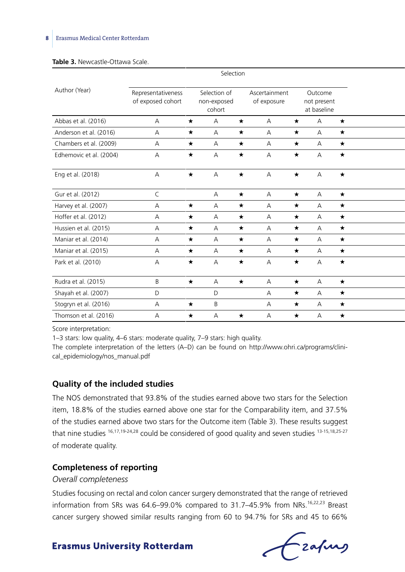#### **8** Erasmus Medical Center Rotterdam

#### **Table 3.** Newcastle-Ottawa Scale.

|                         |                                         |         | Selection                             |         |                              |         |                                       |         |  |
|-------------------------|-----------------------------------------|---------|---------------------------------------|---------|------------------------------|---------|---------------------------------------|---------|--|
| Author (Year)           | Representativeness<br>of exposed cohort |         | Selection of<br>non-exposed<br>cohort |         | Ascertainment<br>of exposure |         | Outcome<br>not present<br>at baseline |         |  |
| Abbas et al. (2016)     | Α                                       | $\star$ | А                                     | $\star$ | А                            | $\star$ | A                                     | $\star$ |  |
| Anderson et al. (2016)  | A                                       | $\star$ | А                                     | $\star$ | $\overline{A}$               | $\star$ | Α                                     | $\star$ |  |
| Chambers et al. (2009)  | $\mathsf{A}$                            | $\star$ | A                                     | $\star$ | $\overline{A}$               | $\star$ | А                                     | $\star$ |  |
| Edhemovic et al. (2004) | A                                       | $\star$ | $\overline{A}$                        | $\star$ | A                            | $\star$ | $\overline{A}$                        | $\star$ |  |
| Eng et al. (2018)       | Α                                       | $\star$ | $\overline{A}$                        | $\star$ | $\overline{A}$               | $\star$ | A                                     | $\star$ |  |
| Gur et al. (2012)       | $\mathsf{C}$                            |         | А                                     | $\star$ | $\mathsf{A}$                 | $\star$ | А                                     | $\star$ |  |
| Harvey et al. (2007)    | $\mathsf{A}$                            | $\star$ | $\overline{A}$                        | $\star$ | $\overline{A}$               | $\star$ | А                                     | $\star$ |  |
| Hoffer et al. (2012)    | A                                       | $\star$ | A                                     | $\star$ | A                            | $\star$ | Α                                     | $\star$ |  |
| Hussien et al. (2015)   | A                                       | $\star$ | А                                     | $\star$ | A                            | $\star$ | Α                                     | $\star$ |  |
| Maniar et al. (2014)    | A                                       | $\star$ | А                                     | $\star$ | $\mathsf{A}$                 | $\star$ | A                                     | $\star$ |  |
| Maniar et al. (2015)    | A                                       | $\star$ | $\overline{A}$                        | $\star$ | $\overline{A}$               | $\star$ | А                                     | $\star$ |  |
| Park et al. (2010)      | Α                                       | $\star$ | $\overline{A}$                        | $\star$ | $\overline{A}$               | $\star$ | Α                                     | $\star$ |  |
| Rudra et al. (2015)     | B                                       | $\star$ | А                                     | $\star$ | A                            | $\star$ | А                                     | $\star$ |  |
| Shayah et al. (2007)    | D                                       |         | D                                     |         | $\mathsf{A}$                 | $\star$ | А                                     | $\star$ |  |
| Stogryn et al. (2016)   | $\mathsf{A}$                            | $\star$ | B                                     |         | A                            | $\star$ | Α                                     | $\star$ |  |
| Thomson et al. (2016)   | Α                                       | $\star$ | $\overline{A}$                        | $\star$ | $\overline{A}$               | $\star$ | Α                                     | $\star$ |  |

Score interpretation:

1–3 stars: low quality, 4–6 stars: moderate quality, 7–9 stars: high quality.

The complete interpretation of the letters (A–D) can be found on http://www.ohri.ca/programs/clinical\_epidemiology/nos\_manual.pdf

# **Quality of the included studies**

The NOS demonstrated that 93.8% of the studies earned above two stars for the Selection item, 18.8% of the studies earned above one star for the Comparability item, and 37.5% of the studies earned above two stars for the Outcome item (Table 3). These results suggest that nine studies <sup>16,17,19-24,28</sup> could be considered of good quality and seven studies <sup>13-15,18,25-27</sup> of moderate quality.

# **Completeness of reporting**

### *Overall completeness*

Studies focusing on rectal and colon cancer surgery demonstrated that the range of retrieved information from SRs was  $64.6-99.0\%$  compared to  $31.7-45.9\%$  from NRs.<sup>16,22,23</sup> Breast cancer surgery showed similar results ranging from 60 to 94.7% for SRs and 45 to 66%

Frahing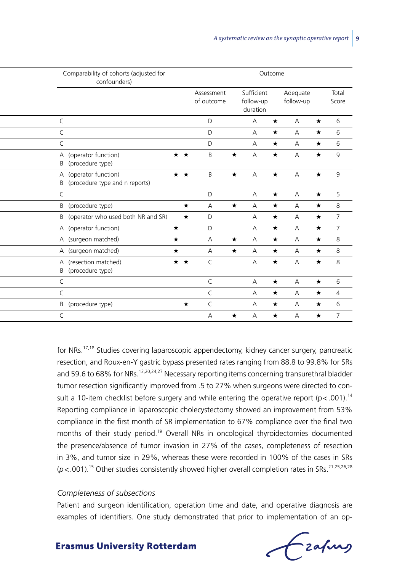| Comparability of cohorts (adjusted for<br>confounders)    |                 |                          |         |                                     | Outcome |                       |         |                |
|-----------------------------------------------------------|-----------------|--------------------------|---------|-------------------------------------|---------|-----------------------|---------|----------------|
|                                                           |                 | Assessment<br>of outcome |         | Sufficient<br>follow-up<br>duration |         | Adequate<br>follow-up |         | Total<br>Score |
| $\mathsf{C}$                                              |                 | D                        |         | $\mathsf{A}$                        | $\star$ | А                     | $\star$ | 6              |
| $\mathsf{C}$                                              |                 | D                        |         | $\mathsf{A}$                        | $\star$ | $\overline{A}$        | $\star$ | 6              |
| $\mathsf{C}$                                              |                 | D                        |         | $\mathsf{A}$                        | $\star$ | $\mathsf{A}$          | $\star$ | 6              |
| A (operator function)<br>B (procedure type)               | $\star$ $\star$ | B                        | $\star$ | $\mathsf{A}$                        | $\star$ | A                     | $\star$ | 9              |
| A (operator function)<br>B (procedure type and n reports) | $\star$ $\star$ | <sub>R</sub>             | $\star$ | A                                   | $\star$ | A                     | $\star$ | 9              |
| $\mathsf{C}$                                              |                 | D                        |         | $\mathsf{A}$                        | $\star$ | $\mathsf{A}$          | $\star$ | - 5            |
| B (procedure type)                                        | $\star$         | A                        | $\star$ | $\mathsf{A}$                        | $\star$ | A                     | $\star$ | 8              |
| B (operator who used both NR and SR)                      | $\star$         | D                        |         | $\mathsf{A}$                        | $\star$ | A                     | $\star$ | 7              |
| A (operator function)                                     | $\star$         | D                        |         | $\mathsf{A}$                        | $\star$ | $\mathsf{A}$          | $\star$ | - 7            |
| A (surgeon matched)                                       | $\star$         | A                        | $\star$ | $\mathsf{A}$                        | $\star$ | $\overline{A}$        | $\star$ | 8              |
| A (surgeon matched)                                       | $\star$         | A                        | $\star$ | A                                   | $\star$ | $\mathsf{A}$          | $\star$ | 8              |
| A (resection matched)<br>B (procedure type)               | $\star$ $\star$ | $\mathsf{C}$             |         | $\mathsf{A}$                        | $\star$ | А                     | $\star$ | 8              |
| $\subset$                                                 |                 | $\mathsf{C}$             |         | $\mathsf{A}$                        | $\star$ | $\mathsf{A}$          | $\star$ | 6              |
| $\mathsf{C}$                                              |                 | $\mathsf{C}$             |         | $\mathsf{A}$                        | $\star$ | $\mathsf{A}$          | $\star$ | $\overline{4}$ |
| B (procedure type)                                        | $\star$         | C                        |         | A                                   | ★       | Δ                     | ★       | 6              |
| $\mathsf{C}$                                              |                 | Α                        | $\star$ | A                                   | $\star$ | А                     | $\star$ | $\overline{7}$ |

for NRs.17,18 Studies covering laparoscopic appendectomy, kidney cancer surgery, pancreatic resection, and Roux-en-Y gastric bypass presented rates ranging from 88.8 to 99.8% for SRs and 59.6 to 68% for NRs.<sup>13,20,24,27</sup> Necessary reporting items concerning transurethral bladder tumor resection significantly improved from .5 to 27% when surgeons were directed to consult a 10-item checklist before surgery and while entering the operative report ( $p < .001$ ).<sup>14</sup> Reporting compliance in laparoscopic cholecystectomy showed an improvement from 53% compliance in the first month of SR implementation to 67% compliance over the final two months of their study period.19 Overall NRs in oncological thyroidectomies documented the presence/absence of tumor invasion in 27% of the cases, completeness of resection in 3%, and tumor size in 29%, whereas these were recorded in 100% of the cases in SRs  $(p<.001)$ .<sup>15</sup> Other studies consistently showed higher overall completion rates in SRs.<sup>21,25,26,28</sup>

# *Completeness of subsections*

Patient and surgeon identification, operation time and date, and operative diagnosis are examples of identifiers. One study demonstrated that prior to implementation of an op-

Czafing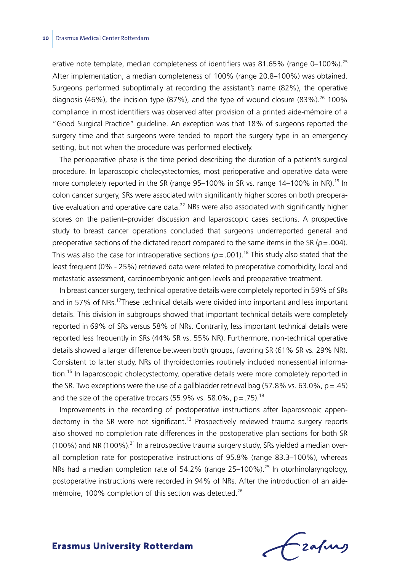erative note template, median completeness of identifiers was 81.65% (range 0–100%).<sup>25</sup> After implementation, a median completeness of 100% (range 20.8–100%) was obtained. Surgeons performed suboptimally at recording the assistant's name (82%), the operative diagnosis (46%), the incision type (87%), and the type of wound closure (83%).<sup>26</sup> 100% compliance in most identifiers was observed after provision of a printed aide-mémoire of a "Good Surgical Practice" guideline. An exception was that 18% of surgeons reported the surgery time and that surgeons were tended to report the surgery type in an emergency setting, but not when the procedure was performed electively.

The perioperative phase is the time period describing the duration of a patient's surgical procedure. In laparoscopic cholecystectomies, most perioperative and operative data were more completely reported in the SR (range  $95-100\%$  in SR vs. range  $14-100\%$  in NR).<sup>19</sup> In colon cancer surgery, SRs were associated with significantly higher scores on both preoperative evaluation and operative care data.<sup>22</sup> NRs were also associated with significantly higher scores on the patient–provider discussion and laparoscopic cases sections. A prospective study to breast cancer operations concluded that surgeons underreported general and preoperative sections of the dictated report compared to the same items in the SR ( $p = .004$ ). This was also the case for intraoperative sections ( $p = .001$ ).<sup>18</sup> This study also stated that the least frequent (0% - 25%) retrieved data were related to preoperative comorbidity, local and metastatic assessment, carcinoembryonic antigen levels and preoperative treatment.

In breast cancer surgery, technical operative details were completely reported in 59% of SRs and in 57% of NRs.<sup>17</sup>These technical details were divided into important and less important details. This division in subgroups showed that important technical details were completely reported in 69% of SRs versus 58% of NRs. Contrarily, less important technical details were reported less frequently in SRs (44% SR vs. 55% NR). Furthermore, non-technical operative details showed a larger difference between both groups, favoring SR (61% SR vs. 29% NR). Consistent to latter study, NRs of thyroidectomies routinely included nonessential information.<sup>15</sup> In laparoscopic cholecystectomy, operative details were more completely reported in the SR. Two exceptions were the use of a gallbladder retrieval bag (57.8% vs. 63.0%,  $p = .45$ ) and the size of the operative trocars (55.9% vs. 58.0%, p = .75).<sup>19</sup>

Improvements in the recording of postoperative instructions after laparoscopic appendectomy in the SR were not significant.<sup>13</sup> Prospectively reviewed trauma surgery reports also showed no completion rate differences in the postoperative plan sections for both SR (100%) and NR (100%).<sup>21</sup> In a retrospective trauma surgery study, SRs yielded a median overall completion rate for postoperative instructions of 95.8% (range 83.3–100%), whereas NRs had a median completion rate of 54.2% (range 25-100%).<sup>25</sup> In otorhinolaryngology, postoperative instructions were recorded in 94% of NRs. After the introduction of an aidemémoire, 100% completion of this section was detected.<sup>26</sup>

frafing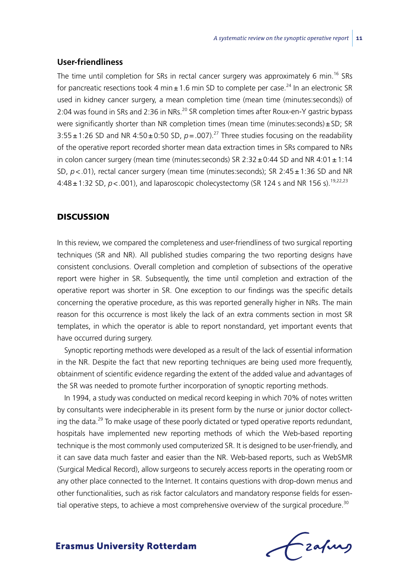### **User-friendliness**

The time until completion for SRs in rectal cancer surgery was approximately 6 min.<sup>16</sup> SRs for pancreatic resections took 4 min $\pm$  1.6 min SD to complete per case.<sup>24</sup> In an electronic SR used in kidney cancer surgery, a mean completion time (mean time (minutes:seconds)) of 2:04 was found in SRs and 2:36 in NRs.<sup>20</sup> SR completion times after Roux-en-Y gastric bypass were significantly shorter than NR completion times (mean time (minutes:seconds) $\pm$  SD; SR  $3:55\pm1:26$  SD and NR 4:50 $\pm$ 0:50 SD,  $p = .007$ ).<sup>27</sup> Three studies focusing on the readability of the operative report recorded shorter mean data extraction times in SRs compared to NRs in colon cancer surgery (mean time (minutes: seconds) SR 2:32 $\pm$ 0:44 SD and NR 4:01 $\pm$ 1:14 SD, *p*<.01), rectal cancer surgery (mean time (minutes:seconds); SR 2:45±1:36 SD and NR 4:48 $\pm$ 1:32 SD,  $p$ <.001), and laparoscopic cholecystectomy (SR 124 s and NR 156 s).<sup>19,22,23</sup>

### **DISCUSSION**

In this review, we compared the completeness and user-friendliness of two surgical reporting techniques (SR and NR). All published studies comparing the two reporting designs have consistent conclusions. Overall completion and completion of subsections of the operative report were higher in SR. Subsequently, the time until completion and extraction of the operative report was shorter in SR. One exception to our findings was the specific details concerning the operative procedure, as this was reported generally higher in NRs. The main reason for this occurrence is most likely the lack of an extra comments section in most SR templates, in which the operator is able to report nonstandard, yet important events that have occurred during surgery.

Synoptic reporting methods were developed as a result of the lack of essential information in the NR. Despite the fact that new reporting techniques are being used more frequently, obtainment of scientific evidence regarding the extent of the added value and advantages of the SR was needed to promote further incorporation of synoptic reporting methods.

In 1994, a study was conducted on medical record keeping in which 70% of notes written by consultants were indecipherable in its present form by the nurse or junior doctor collecting the data.<sup>29</sup> To make usage of these poorly dictated or typed operative reports redundant, hospitals have implemented new reporting methods of which the Web-based reporting technique is the most commonly used computerized SR. It is designed to be user-friendly, and it can save data much faster and easier than the NR. Web-based reports, such as WebSMR (Surgical Medical Record), allow surgeons to securely access reports in the operating room or any other place connected to the Internet. It contains questions with drop-down menus and other functionalities, such as risk factor calculators and mandatory response fields for essential operative steps, to achieve a most comprehensive overview of the surgical procedure.<sup>30</sup>

frafing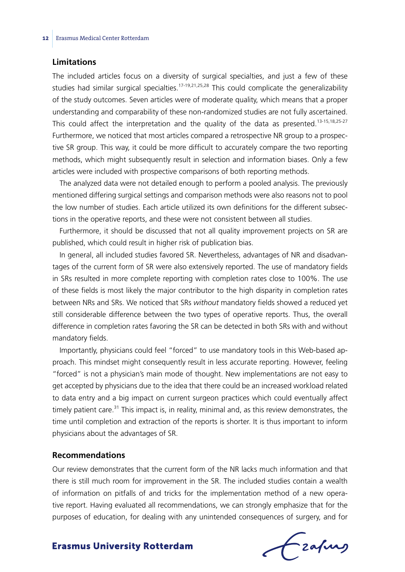### **Limitations**

The included articles focus on a diversity of surgical specialties, and just a few of these studies had similar surgical specialties.<sup>17-19,21,25,28</sup> This could complicate the generalizability of the study outcomes. Seven articles were of moderate quality, which means that a proper understanding and comparability of these non-randomized studies are not fully ascertained. This could affect the interpretation and the quality of the data as presented.<sup>13-15,18,25-27</sup> Furthermore, we noticed that most articles compared a retrospective NR group to a prospective SR group. This way, it could be more difficult to accurately compare the two reporting methods, which might subsequently result in selection and information biases. Only a few articles were included with prospective comparisons of both reporting methods.

The analyzed data were not detailed enough to perform a pooled analysis. The previously mentioned differing surgical settings and comparison methods were also reasons not to pool the low number of studies. Each article utilized its own definitions for the different subsections in the operative reports, and these were not consistent between all studies.

Furthermore, it should be discussed that not all quality improvement projects on SR are published, which could result in higher risk of publication bias.

In general, all included studies favored SR. Nevertheless, advantages of NR and disadvantages of the current form of SR were also extensively reported. The use of mandatory fields in SRs resulted in more complete reporting with completion rates close to 100%. The use of these fields is most likely the major contributor to the high disparity in completion rates between NRs and SRs. We noticed that SRs *without* mandatory fields showed a reduced yet still considerable difference between the two types of operative reports. Thus, the overall difference in completion rates favoring the SR can be detected in both SRs with and without mandatory fields.

Importantly, physicians could feel "forced" to use mandatory tools in this Web-based approach. This mindset might consequently result in less accurate reporting. However, feeling "forced" is not a physician's main mode of thought. New implementations are not easy to get accepted by physicians due to the idea that there could be an increased workload related to data entry and a big impact on current surgeon practices which could eventually affect timely patient care.<sup>31</sup> This impact is, in reality, minimal and, as this review demonstrates, the time until completion and extraction of the reports is shorter. It is thus important to inform physicians about the advantages of SR.

### **Recommendations**

Our review demonstrates that the current form of the NR lacks much information and that there is still much room for improvement in the SR. The included studies contain a wealth of information on pitfalls of and tricks for the implementation method of a new operative report. Having evaluated all recommendations, we can strongly emphasize that for the purposes of education, for dealing with any unintended consequences of surgery, and for

frafing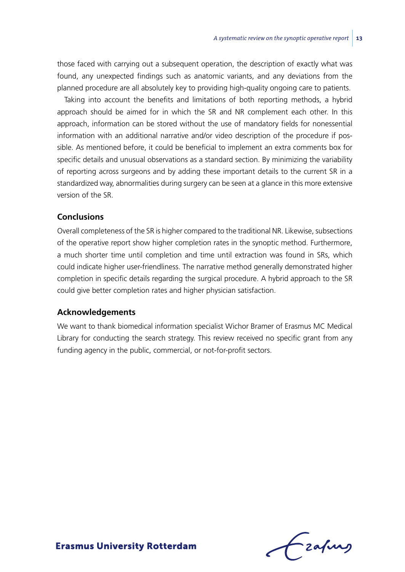those faced with carrying out a subsequent operation, the description of exactly what was found, any unexpected findings such as anatomic variants, and any deviations from the planned procedure are all absolutely key to providing high-quality ongoing care to patients.

Taking into account the benefits and limitations of both reporting methods, a hybrid approach should be aimed for in which the SR and NR complement each other. In this approach, information can be stored without the use of mandatory fields for nonessential information with an additional narrative and/or video description of the procedure if possible. As mentioned before, it could be beneficial to implement an extra comments box for specific details and unusual observations as a standard section. By minimizing the variability of reporting across surgeons and by adding these important details to the current SR in a standardized way, abnormalities during surgery can be seen at a glance in this more extensive version of the SR.

# **Conclusions**

Overall completeness of the SR is higher compared to the traditional NR. Likewise, subsections of the operative report show higher completion rates in the synoptic method. Furthermore, a much shorter time until completion and time until extraction was found in SRs, which could indicate higher user-friendliness. The narrative method generally demonstrated higher completion in specific details regarding the surgical procedure. A hybrid approach to the SR could give better completion rates and higher physician satisfaction.

### **Acknowledgements**

We want to thank biomedical information specialist Wichor Bramer of Erasmus MC Medical Library for conducting the search strategy. This review received no specific grant from any funding agency in the public, commercial, or not-for-profit sectors.

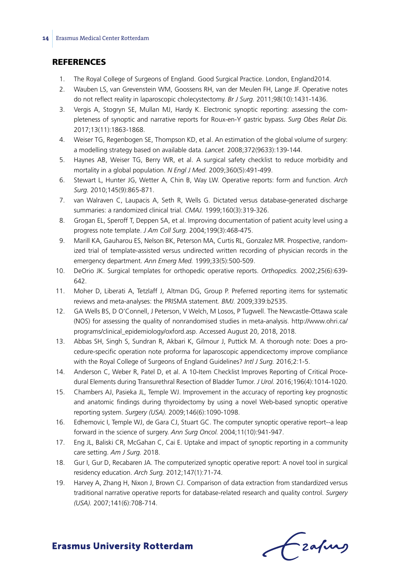### **REFERENCES**

- 1. The Royal College of Surgeons of England. Good Surgical Practice. London, England2014.
- 2. Wauben LS, van Grevenstein WM, Goossens RH, van der Meulen FH, Lange JF. Operative notes do not reflect reality in laparoscopic cholecystectomy. *Br J Surg.* 2011;98(10):1431-1436.
- 3. Vergis A, Stogryn SE, Mullan MJ, Hardy K. Electronic synoptic reporting: assessing the completeness of synoptic and narrative reports for Roux-en-Y gastric bypass. *Surg Obes Relat Dis.* 2017;13(11):1863-1868.
- 4. Weiser TG, Regenbogen SE, Thompson KD, et al. An estimation of the global volume of surgery: a modelling strategy based on available data. *Lancet.* 2008;372(9633):139-144.
- 5. Haynes AB, Weiser TG, Berry WR, et al. A surgical safety checklist to reduce morbidity and mortality in a global population. *N Engl J Med.* 2009;360(5):491-499.
- 6. Stewart L, Hunter JG, Wetter A, Chin B, Way LW. Operative reports: form and function. *Arch Surg.* 2010;145(9):865-871.
- 7. van Walraven C, Laupacis A, Seth R, Wells G. Dictated versus database-generated discharge summaries: a randomized clinical trial. *CMAJ.* 1999;160(3):319-326.
- 8. Grogan EL, Speroff T, Deppen SA, et al. Improving documentation of patient acuity level using a progress note template. *J Am Coll Surg.* 2004;199(3):468-475.
- 9. Marill KA, Gauharou ES, Nelson BK, Peterson MA, Curtis RL, Gonzalez MR. Prospective, randomized trial of template-assisted versus undirected written recording of physician records in the emergency department. *Ann Emerg Med.* 1999;33(5):500-509.
- 10. DeOrio JK. Surgical templates for orthopedic operative reports. *Orthopedics.* 2002;25(6):639- 642.
- 11. Moher D, Liberati A, Tetzlaff J, Altman DG, Group P. Preferred reporting items for systematic reviews and meta-analyses: the PRISMA statement. *BMJ.* 2009;339:b2535.
- 12. GA Wells BS, D O'Connell, J Peterson, V Welch, M Losos, P Tugwell. The Newcastle-Ottawa scale (NOS) for assessing the quality of nonrandomised studies in meta-analysis. http://www.ohri.ca/ programs/clinical\_epidemiology/oxford.asp. Accessed August 20, 2018, 2018.
- 13. Abbas SH, Singh S, Sundran R, Akbari K, Gilmour J, Puttick M. A thorough note: Does a procedure-specific operation note proforma for laparoscopic appendicectomy improve compliance with the Royal College of Surgeons of England Guidelines? *Intl J Surg.* 2016;2:1-5.
- 14. Anderson C, Weber R, Patel D, et al. A 10-Item Checklist Improves Reporting of Critical Procedural Elements during Transurethral Resection of Bladder Tumor. *J Urol.* 2016;196(4):1014-1020.
- 15. Chambers AJ, Pasieka JL, Temple WJ. Improvement in the accuracy of reporting key prognostic and anatomic findings during thyroidectomy by using a novel Web-based synoptic operative reporting system. *Surgery (USA).* 2009;146(6):1090-1098.
- 16. Edhemovic I, Temple WJ, de Gara CJ, Stuart GC. The computer synoptic operative report--a leap forward in the science of surgery. *Ann Surg Oncol.* 2004;11(10):941-947.
- 17. Eng JL, Baliski CR, McGahan C, Cai E. Uptake and impact of synoptic reporting in a community care setting. *Am J Surg.* 2018.
- 18. Gur I, Gur D, Recabaren JA. The computerized synoptic operative report: A novel tool in surgical residency education. *Arch Surg.* 2012;147(1):71-74.
- 19. Harvey A, Zhang H, Nixon J, Brown CJ. Comparison of data extraction from standardized versus traditional narrative operative reports for database-related research and quality control. *Surgery (USA).* 2007;141(6):708-714.

frafing